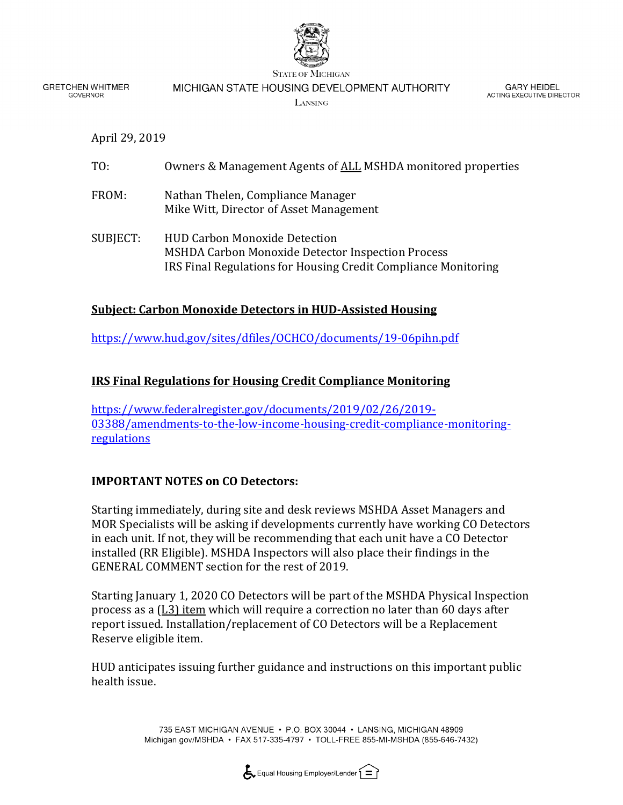

**GRETCHEN WHITMER GOVERNOR** 

MICHIGAN STATE HOUSING DEVELOPMENT AUTHORITY

LANSING

**GARY HEIDEL** ACTING EXECUTIVE DIRECTOR

April 29, 2019

| TO:      | Owners & Management Agents of ALL MSHDA monitored properties                                                                                                       |
|----------|--------------------------------------------------------------------------------------------------------------------------------------------------------------------|
| FROM:    | Nathan Thelen, Compliance Manager<br>Mike Witt, Director of Asset Management                                                                                       |
| SUBJECT: | <b>HUD Carbon Monoxide Detection</b><br><b>MSHDA Carbon Monoxide Detector Inspection Process</b><br>IRS Final Regulations for Housing Credit Compliance Monitoring |

## **Subject: Carbon Monoxide Detectors in HUD-Assisted Housing**

<https://www.hud.gov/sites/dfiles/OCHCO/documents/19-06pihn.pdf>

## **IRS Final Regulations for Housing Credit Compliance Monitoring**

[https://www.federalregister.gov/documents/2019/02/26/2019-](https://www.federalregister.gov/documents/2019/02/26/2019-03388/amendments-to-the-low-income-housing-credit-compliance-monitoring-regulations) [03388/amendments-to-the-low-income-housing-credit-compliance-monitoring](https://www.federalregister.gov/documents/2019/02/26/2019-03388/amendments-to-the-low-income-housing-credit-compliance-monitoring-regulations)[regulations](https://www.federalregister.gov/documents/2019/02/26/2019-03388/amendments-to-the-low-income-housing-credit-compliance-monitoring-regulations)

## **IMPORTANT NOTES on CO Detectors:**

Starting immediately, during site and desk reviews MSHDA Asset Managers and MOR Specialists will be asking if developments currently have working CO Detectors in each unit. If not, they will be recommending that each unit have a CO Detector installed (RR Eligible). MSHDA Inspectors will also place their findings in the GENERAL COMMENT section for the rest of 2019.

Starting January 1, 2020 CO Detectors will be part of the MSHDA Physical Inspection process as a (L3) item which will require a correction no later than 60 days after report issued. Installation/replacement of CO Detectors will be a Replacement Reserve eligible item.

HUD anticipates issuing further guidance and instructions on this important public health issue.

> 735 EAST MICHIGAN AVENUE · P.O. BOX 30044 · LANSING, MICHIGAN 48909 Michigan.gov/MSHDA • FAX 517-335-4797 • TOLL-FREE 855-MI-MSHDA (855-646-7432)